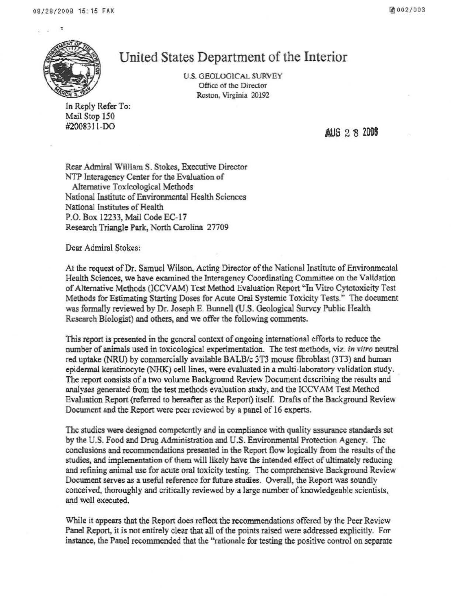

## United States Department of the Interior

U.S. GEOLOGlCAL SURVEY Office of the Director Reston, Virginia 20192

In Reply Refer To: Mail Stop 150<br>#2008311-DO

#2008311-DO **AUG** 2 8 2008

Rear Admiral William S. Stokes, Executive Director NTP Interagency Center for the Evaluation of Alternative Toxicological Methods National Institute of Environmental Health Sciences National Institutes of Health P.O. Box 12233, Mail Code EC-17 Research Triangle Park. North Carolina 27709

Dear Admiral Stokes:

At the request of Dr. Samuel Wilson. Acting Director of the National Institute of Environmental Health Sciences, we have examined the Interagency Coordinating Committee on the Validation ofAlternative Methods (ICCV AM) Test Method Evaluation Report '1n Vitro Cytotoxicity Test Methods for Estimating Starting Doses for Acute Oral Systemic Toxicity Tests." The document was formally reviewed by Dr. Joseph E. Bunnell (U.S. Geological Survey Public Health Research Biologist) and others, and we offer the following comments.

This report is presented in the general context of ongoing international efforts to reduce the number ofanimals used in toxicological experimentation. The test methods, viz. *in vitro* neutral red uptake (NRU) by commercially available BALB/c 3T3 mouse fibroblast (3T3) and human epidermal keratinocyte (NHK) cell lines, were evaluated in a multi-laboratory validation study. The report consists of a two volume Background Review Document describing the results and analyses generated from the test methods evaluation study, and the ICCV AM Test Method Evaluation Report (referred to hereafter as the Report) itself. Drafts of the Background Review Document and the Report were peer reviewed by a panel of 16 experts.

The studies were designed competently and in compliance with quality assurance standards set by the U.S. Food and Drug Administration and U.S. Environmental Protection Agency. The conclusions and recommendations presented in the Report flow logically from the results of the studies, and implementation of them will likely have the intended effect of ultimately reducing and refining animal use for acute oral toxicity testing. The comprehensive Background Review Document serves as a useful reference for future studies. Overall, the Report was soundly conceived, thoroughly and critically reviewed by a large number of knowledgeable scientists, and well executed.

While it appears that the Report does reflect the recommendations offered by the Peer Review Panel Report, it is not entirely clear that all of the points raised were addressed explicitly. For instance, the Panel recommended that the ''rationale for testing the positive control on separate